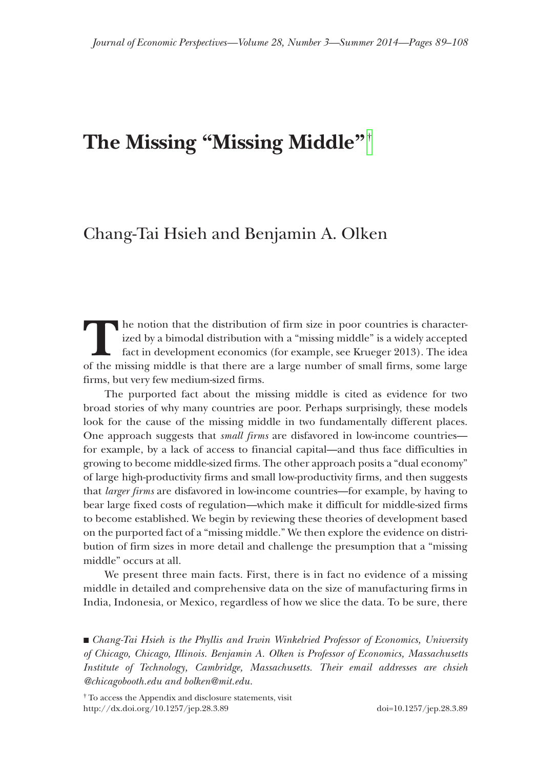# **The Missing "Missing Middle"**[†](#page-0-0)

## Chang-Tai Hsieh and Benjamin A. Olken

**T**he notion that the distribution of firm size in poor countries is characterized by a bimodal distribution with a "missing middle" is a widely accepted fact in development economics (for example, see Krueger 2013). The idea of the missing middle is that there are a large number of small firms, some large firms, but very few medium-sized firms.

The purported fact about the missing middle is cited as evidence for two broad stories of why many countries are poor. Perhaps surprisingly, these models look for the cause of the missing middle in two fundamentally different places. One approach suggests that *small firms* are disfavored in low-income countries for example, by a lack of access to financial capital—and thus face difficulties in growing to become middle-sized firms. The other approach posits a "dual economy" of large high-productivity firms and small low-productivity firms, and then suggests that *larger firms* are disfavored in low-income countries—for example, by having to bear large fixed costs of regulation—which make it difficult for middle-sized firms to become established. We begin by reviewing these theories of development based on the purported fact of a "missing middle." We then explore the evidence on distribution of firm sizes in more detail and challenge the presumption that a "missing middle" occurs at all.

We present three main facts. First, there is in fact no evidence of a missing middle in detailed and comprehensive data on the size of manufacturing firms in India, Indonesia, or Mexico, regardless of how we slice the data. To be sure, there

■ *Chang-Tai Hsieh is the Phyllis and Irwin Winkelried Professor of Economics, University of Chicago, Chicago, Illinois. Benjamin A. Olken is Professor of Economics, Massachusetts Institute of Technology, Cambridge, Massachusetts. Their email addresses are chsieh @chicagobooth.edu and bolken@mit.edu.*

<span id="page-0-0"></span>† To access the Appendix and disclosure statements, visit http://dx.doi.org/10.1257/jep.28.3.89 doi=10.1257/jep.28.3.89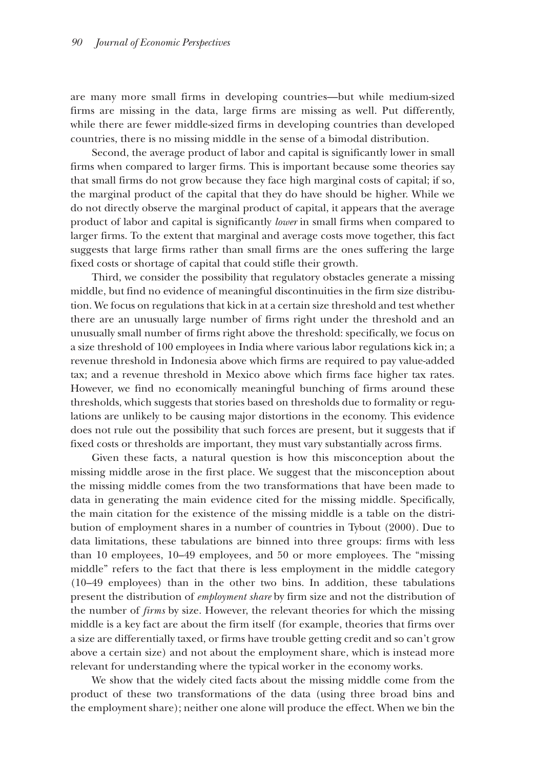are many more small firms in developing countries—but while medium-sized firms are missing in the data, large firms are missing as well. Put differently, while there are fewer middle-sized firms in developing countries than developed countries, there is no missing middle in the sense of a bimodal distribution.

Second, the average product of labor and capital is significantly lower in small firms when compared to larger firms. This is important because some theories say that small firms do not grow because they face high marginal costs of capital; if so, the marginal product of the capital that they do have should be higher. While we do not directly observe the marginal product of capital, it appears that the average product of labor and capital is significantly *lower* in small firms when compared to larger firms. To the extent that marginal and average costs move together, this fact suggests that large firms rather than small firms are the ones suffering the large fixed costs or shortage of capital that could stifle their growth.

Third, we consider the possibility that regulatory obstacles generate a missing middle, but find no evidence of meaningful discontinuities in the firm size distribution. We focus on regulations that kick in at a certain size threshold and test whether there are an unusually large number of firms right under the threshold and an unusually small number of firms right above the threshold: specifically, we focus on a size threshold of 100 employees in India where various labor regulations kick in; a revenue threshold in Indonesia above which firms are required to pay value-added tax; and a revenue threshold in Mexico above which firms face higher tax rates. However, we find no economically meaningful bunching of firms around these thresholds, which suggests that stories based on thresholds due to formality or regulations are unlikely to be causing major distortions in the economy. This evidence does not rule out the possibility that such forces are present, but it suggests that if fixed costs or thresholds are important, they must vary substantially across firms.

Given these facts, a natural question is how this misconception about the missing middle arose in the first place. We suggest that the misconception about the missing middle comes from the two transformations that have been made to data in generating the main evidence cited for the missing middle. Specifically, the main citation for the existence of the missing middle is a table on the distribution of employment shares in a number of countries in Tybout (2000). Due to data limitations, these tabulations are binned into three groups: firms with less than 10 employees, 10–49 employees, and 50 or more employees. The "missing middle" refers to the fact that there is less employment in the middle category (10–49 employees) than in the other two bins. In addition, these tabulations present the distribution of *employment share* by firm size and not the distribution of the number of *firms* by size. However, the relevant theories for which the missing middle is a key fact are about the firm itself (for example, theories that firms over a size are differentially taxed, or firms have trouble getting credit and so can't grow above a certain size) and not about the employment share, which is instead more relevant for understanding where the typical worker in the economy works.

We show that the widely cited facts about the missing middle come from the product of these two transformations of the data (using three broad bins and the employment share); neither one alone will produce the effect. When we bin the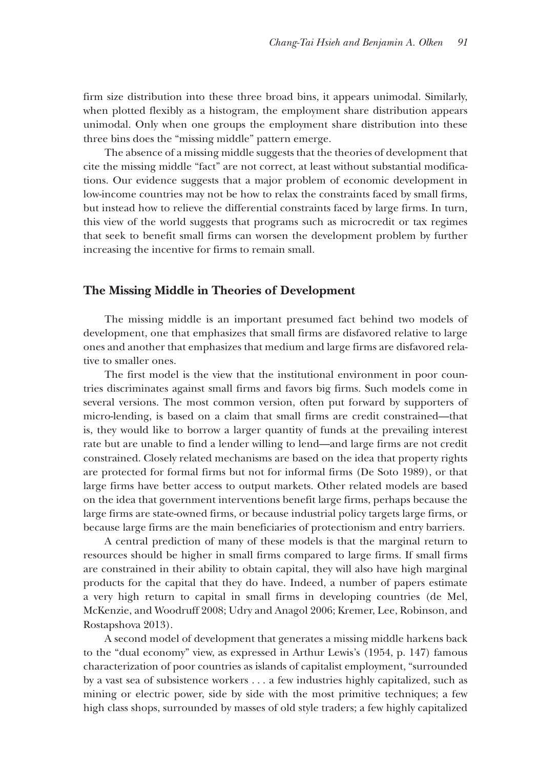firm size distribution into these three broad bins, it appears unimodal. Similarly, when plotted flexibly as a histogram, the employment share distribution appears unimodal. Only when one groups the employment share distribution into these three bins does the "missing middle" pattern emerge.

The absence of a missing middle suggests that the theories of development that cite the missing middle "fact" are not correct, at least without substantial modifications. Our evidence suggests that a major problem of economic development in low-income countries may not be how to relax the constraints faced by small firms, but instead how to relieve the differential constraints faced by large firms. In turn, this view of the world suggests that programs such as microcredit or tax regimes that seek to benefit small firms can worsen the development problem by further increasing the incentive for firms to remain small.

#### **The Missing Middle in Theories of Development**

The missing middle is an important presumed fact behind two models of development, one that emphasizes that small firms are disfavored relative to large ones and another that emphasizes that medium and large firms are disfavored relative to smaller ones.

The first model is the view that the institutional environment in poor countries discriminates against small firms and favors big firms. Such models come in several versions. The most common version, often put forward by supporters of micro-lending, is based on a claim that small firms are credit constrained—that is, they would like to borrow a larger quantity of funds at the prevailing interest rate but are unable to find a lender willing to lend—and large firms are not credit constrained. Closely related mechanisms are based on the idea that property rights are protected for formal firms but not for informal firms (De Soto 1989), or that large firms have better access to output markets. Other related models are based on the idea that government interventions benefit large firms, perhaps because the large firms are state-owned firms, or because industrial policy targets large firms, or because large firms are the main beneficiaries of protectionism and entry barriers.

A central prediction of many of these models is that the marginal return to resources should be higher in small firms compared to large firms. If small firms are constrained in their ability to obtain capital, they will also have high marginal products for the capital that they do have. Indeed, a number of papers estimate a very high return to capital in small firms in developing countries (de Mel, McKenzie, and Woodruff 2008; Udry and Anagol 2006; Kremer, Lee, Robinson, and Rostapshova 2013).

A second model of development that generates a missing middle harkens back to the "dual economy" view, as expressed in Arthur Lewis's (1954, p. 147) famous characterization of poor countries as islands of capitalist employment, "surrounded by a vast sea of subsistence workers . . . a few industries highly capitalized, such as mining or electric power, side by side with the most primitive techniques; a few high class shops, surrounded by masses of old style traders; a few highly capitalized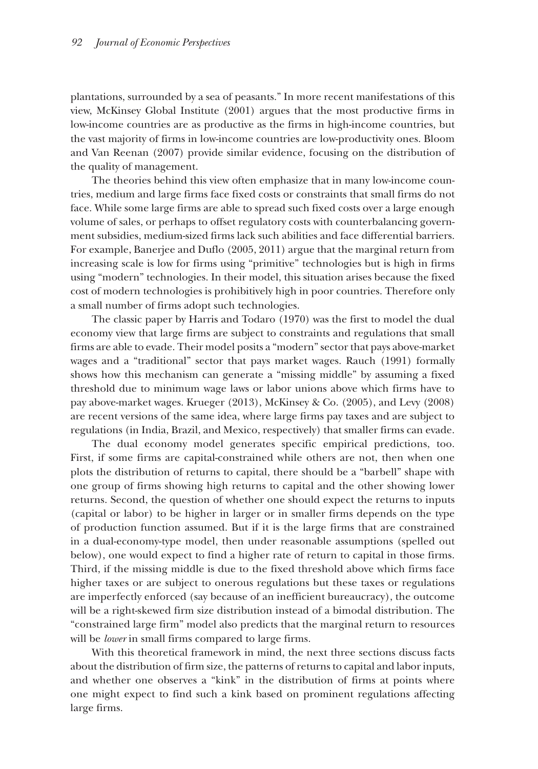plantations, surrounded by a sea of peasants." In more recent manifestations of this view, McKinsey Global Institute (2001) argues that the most productive firms in low-income countries are as productive as the firms in high-income countries, but the vast majority of firms in low-income countries are low-productivity ones. Bloom and Van Reenan (2007) provide similar evidence, focusing on the distribution of the quality of management.

The theories behind this view often emphasize that in many low-income countries, medium and large firms face fixed costs or constraints that small firms do not face. While some large firms are able to spread such fixed costs over a large enough volume of sales, or perhaps to offset regulatory costs with counterbalancing government subsidies, medium-sized firms lack such abilities and face differential barriers. For example, Banerjee and Duflo (2005, 2011) argue that the marginal return from increasing scale is low for firms using "primitive" technologies but is high in firms using "modern" technologies. In their model, this situation arises because the fixed cost of modern technologies is prohibitively high in poor countries. Therefore only a small number of firms adopt such technologies.

The classic paper by Harris and Todaro (1970) was the first to model the dual economy view that large firms are subject to constraints and regulations that small firms are able to evade. Their model posits a "modern" sector that pays above-market wages and a "traditional" sector that pays market wages. Rauch (1991) formally shows how this mechanism can generate a "missing middle" by assuming a fixed threshold due to minimum wage laws or labor unions above which firms have to pay above-market wages. Krueger (2013), McKinsey & Co. (2005), and Levy (2008) are recent versions of the same idea, where large firms pay taxes and are subject to regulations (in India, Brazil, and Mexico, respectively) that smaller firms can evade.

The dual economy model generates specific empirical predictions, too. First, if some firms are capital-constrained while others are not, then when one plots the distribution of returns to capital, there should be a "barbell" shape with one group of firms showing high returns to capital and the other showing lower returns. Second, the question of whether one should expect the returns to inputs (capital or labor) to be higher in larger or in smaller firms depends on the type of production function assumed. But if it is the large firms that are constrained in a dual-economy-type model, then under reasonable assumptions (spelled out below), one would expect to find a higher rate of return to capital in those firms. Third, if the missing middle is due to the fixed threshold above which firms face higher taxes or are subject to onerous regulations but these taxes or regulations are imperfectly enforced (say because of an inefficient bureaucracy), the outcome will be a right-skewed firm size distribution instead of a bimodal distribution. The "constrained large firm" model also predicts that the marginal return to resources will be *lower* in small firms compared to large firms.

With this theoretical framework in mind, the next three sections discuss facts about the distribution of firm size, the patterns of returns to capital and labor inputs, and whether one observes a "kink" in the distribution of firms at points where one might expect to find such a kink based on prominent regulations affecting large firms.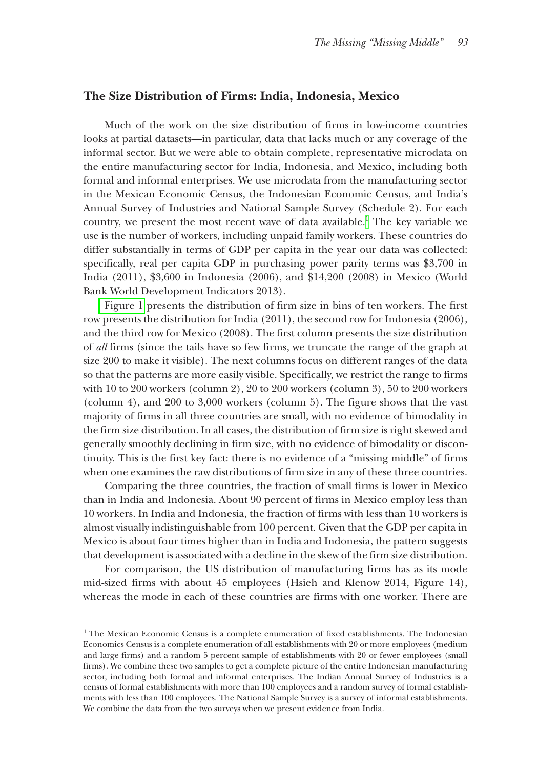#### **The Size Distribution of Firms: India, Indonesia, Mexico**

Much of the work on the size distribution of firms in low-income countries looks at partial datasets—in particular, data that lacks much or any coverage of the informal sector. But we were able to obtain complete, representative microdata on the entire manufacturing sector for India, Indonesia, and Mexico, including both formal and informal enterprises. We use microdata from the manufacturing sector in the Mexican Economic Census, the Indonesian Economic Census, and India's Annual Survey of Industries and National Sample Survey (Schedule 2). For each country, we present the most recent wave of data available.<sup>[1](#page-4-0)</sup> The key variable we use is the number of workers, including unpaid family workers. These countries do differ substantially in terms of GDP per capita in the year our data was collected: specifically, real per capita GDP in purchasing power parity terms was \$3,700 in India (2011), \$3,600 in Indonesia (2006), and \$14,200 (2008) in Mexico (World Bank World Development Indicators 2013).

[Figure 1](#page-5-0) presents the distribution of firm size in bins of ten workers. The first row presents the distribution for India (2011), the second row for Indonesia (2006), and the third row for Mexico (2008). The first column presents the size distribution of *all* firms (since the tails have so few firms, we truncate the range of the graph at size 200 to make it visible). The next columns focus on different ranges of the data so that the patterns are more easily visible. Specifically, we restrict the range to firms with 10 to 200 workers (column 2), 20 to 200 workers (column 3), 50 to 200 workers (column 4), and 200 to 3,000 workers (column 5). The figure shows that the vast majority of firms in all three countries are small, with no evidence of bimodality in the firm size distribution. In all cases, the distribution of firm size is right skewed and generally smoothly declining in firm size, with no evidence of bimodality or discontinuity. This is the first key fact: there is no evidence of a "missing middle" of firms when one examines the raw distributions of firm size in any of these three countries.

Comparing the three countries, the fraction of small firms is lower in Mexico than in India and Indonesia. About 90 percent of firms in Mexico employ less than 10 workers. In India and Indonesia, the fraction of firms with less than 10 workers is almost visually indistinguishable from 100 percent. Given that the GDP per capita in Mexico is about four times higher than in India and Indonesia, the pattern suggests that development is associated with a decline in the skew of the firm size distribution.

For comparison, the US distribution of manufacturing firms has as its mode mid-sized firms with about 45 employees (Hsieh and Klenow 2014, Figure 14), whereas the mode in each of these countries are firms with one worker. There are

<span id="page-4-0"></span><sup>&</sup>lt;sup>1</sup> The Mexican Economic Census is a complete enumeration of fixed establishments. The Indonesian Economics Census is a complete enumeration of all establishments with 20 or more employees (medium and large firms) and a random 5 percent sample of establishments with 20 or fewer employees (small firms). We combine these two samples to get a complete picture of the entire Indonesian manufacturing sector, including both formal and informal enterprises. The Indian Annual Survey of Industries is a census of formal establishments with more than 100 employees and a random survey of formal establishments with less than 100 employees. The National Sample Survey is a survey of informal establishments. We combine the data from the two surveys when we present evidence from India.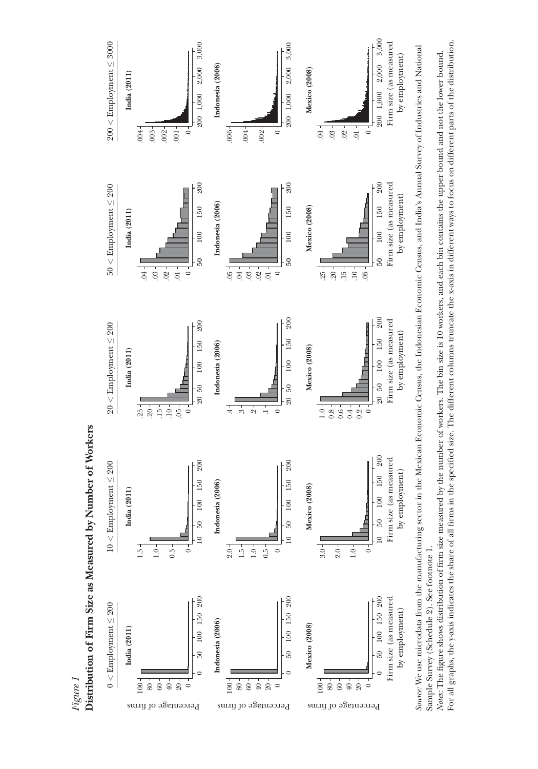<span id="page-5-0"></span>

*Source:* We use microdata from the manufacturing sector in the Mexican Economic Census, the Indonesian Economic Census, and India's Annual Survey of Industries and National Source: We use microdata from the manufacturing sector in the Mexican Economic Census, the Indonesian Economic Census, and India's Annual Survey of Industries and National Sample Survey (Schedule 2). See footnote 1. Sample Survey (Schedule 2). See footnote 1.

For all graphs, the y-axis indicates the share of all firms in the specified size. The different columns truncate the x-axis in different ways to focus on different parts of the distribution. For all graphs, the y-axis indicates the share of all firms in the specified size. The different columns truncate the x-axis in different ways to focus on different parts of the distribution. *Notes:* The figure shows distribution of firm size measured by the number of workers. The bin size is 10 workers, and each bin contains the upper bound and not the lower bound. Notes: The figure shows distribution of firm size measured by the number of workers. The bin size is 10 workers, and each bin contains the upper bound and not the lower bound.

Distribution of Firm Size as Measured by Number of Workers *Figure 1* **Distribution of Firm Size as Measured by Number of Workers** Figure 1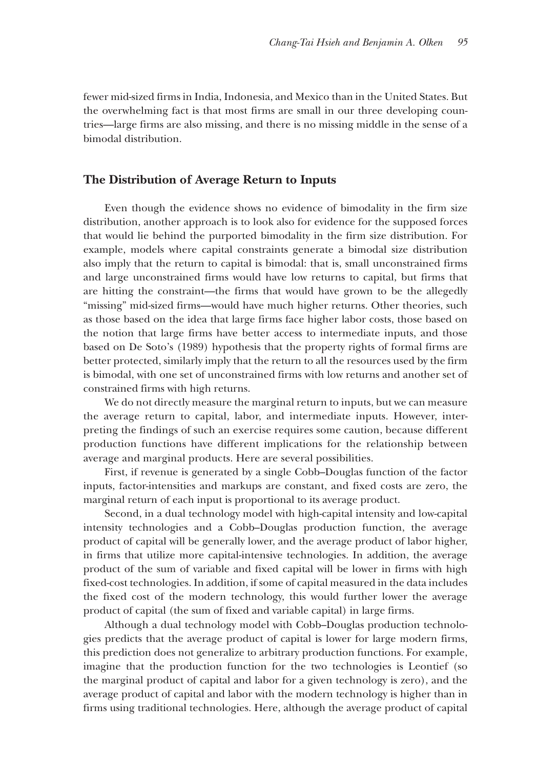fewer mid-sized firms in India, Indonesia, and Mexico than in the United States. But the overwhelming fact is that most firms are small in our three developing countries—large firms are also missing, and there is no missing middle in the sense of a bimodal distribution.

#### **The Distribution of Average Return to Inputs**

Even though the evidence shows no evidence of bimodality in the firm size distribution, another approach is to look also for evidence for the supposed forces that would lie behind the purported bimodality in the firm size distribution. For example, models where capital constraints generate a bimodal size distribution also imply that the return to capital is bimodal: that is, small unconstrained firms and large unconstrained firms would have low returns to capital, but firms that are hitting the constraint—the firms that would have grown to be the allegedly "missing" mid-sized firms—would have much higher returns. Other theories, such as those based on the idea that large firms face higher labor costs, those based on the notion that large firms have better access to intermediate inputs, and those based on De Soto's (1989) hypothesis that the property rights of formal firms are better protected, similarly imply that the return to all the resources used by the firm is bimodal, with one set of unconstrained firms with low returns and another set of constrained firms with high returns.

We do not directly measure the marginal return to inputs, but we can measure the average return to capital, labor, and intermediate inputs. However, interpreting the findings of such an exercise requires some caution, because different production functions have different implications for the relationship between average and marginal products. Here are several possibilities.

First, if revenue is generated by a single Cobb–Douglas function of the factor inputs, factor-intensities and markups are constant, and fixed costs are zero, the marginal return of each input is proportional to its average product.

Second, in a dual technology model with high-capital intensity and low-capital intensity technologies and a Cobb–Douglas production function, the average product of capital will be generally lower, and the average product of labor higher, in firms that utilize more capital-intensive technologies. In addition, the average product of the sum of variable and fixed capital will be lower in firms with high fixed-cost technologies. In addition, if some of capital measured in the data includes the fixed cost of the modern technology, this would further lower the average product of capital (the sum of fixed and variable capital) in large firms.

Although a dual technology model with Cobb–Douglas production technologies predicts that the average product of capital is lower for large modern firms, this prediction does not generalize to arbitrary production functions. For example, imagine that the production function for the two technologies is Leontief (so the marginal product of capital and labor for a given technology is zero), and the average product of capital and labor with the modern technology is higher than in firms using traditional technologies. Here, although the average product of capital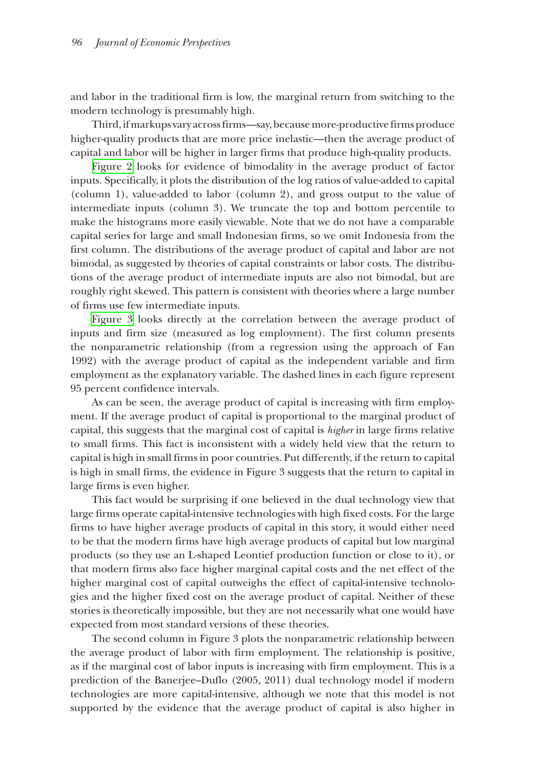and labor in the traditional firm is low, the marginal return from switching to the modern technology is presumably high.

Third, if markups vary across firms—say, because more-productive firms produce higher-quality products that are more price inelastic—then the average product of capital and labor will be higher in larger firms that produce high-quality products.

[Figure 2](#page-8-0) looks for evidence of bimodality in the average product of factor inputs. Specifically, it plots the distribution of the log ratios of value-added to capital (column 1), value-added to labor (column 2), and gross output to the value of intermediate inputs (column 3). We truncate the top and bottom percentile to make the histograms more easily viewable. Note that we do not have a comparable capital series for large and small Indonesian firms, so we omit Indonesia from the first column. The distributions of the average product of capital and labor are not bimodal, as suggested by theories of capital constraints or labor costs. The distributions of the average product of intermediate inputs are also not bimodal, but are roughly right skewed. This pattern is consistent with theories where a large number of firms use few intermediate inputs.

[Figure 3](#page-9-0) looks directly at the correlation between the average product of inputs and firm size (measured as log employment). The first column presents the nonparametric relationship (from a regression using the approach of Fan 1992) with the average product of capital as the independent variable and firm employment as the explanatory variable. The dashed lines in each figure represent 95 percent confidence intervals.

As can be seen, the average product of capital is increasing with firm employment. If the average product of capital is proportional to the marginal product of capital, this suggests that the marginal cost of capital is *higher* in large firms relative to small firms. This fact is inconsistent with a widely held view that the return to capital is high in small firms in poor countries. Put differently, if the return to capital is high in small firms, the evidence in Figure 3 suggests that the return to capital in large firms is even higher.

This fact would be surprising if one believed in the dual technology view that large firms operate capital-intensive technologies with high fixed costs. For the large firms to have higher average products of capital in this story, it would either need to be that the modern firms have high average products of capital but low marginal products (so they use an L-shaped Leontief production function or close to it), or that modern firms also face higher marginal capital costs and the net effect of the higher marginal cost of capital outweighs the effect of capital-intensive technologies and the higher fixed cost on the average product of capital. Neither of these stories is theoretically impossible, but they are not necessarily what one would have expected from most standard versions of these theories.

The second column in Figure 3 plots the nonparametric relationship between the average product of labor with firm employment. The relationship is positive, as if the marginal cost of labor inputs is increasing with firm employment. This is a prediction of the Banerjee–Duflo (2005, 2011) dual technology model if modern technologies are more capital-intensive, although we note that this model is not supported by the evidence that the average product of capital is also higher in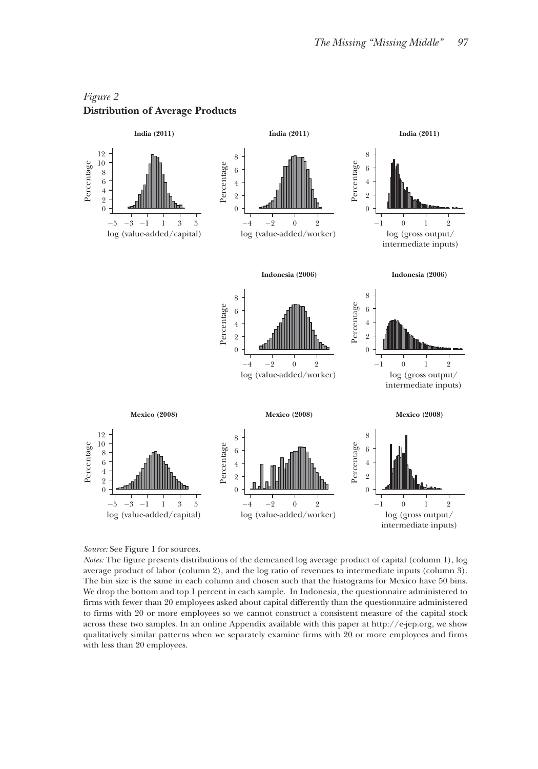

### <span id="page-8-0"></span>*Figure 2* **Distribution of Average Products**

*Source:* See Figure 1 for sources.

*Notes:* The figure presents distributions of the demeaned log average product of capital (column 1), log average product of labor (column 2), and the log ratio of revenues to intermediate inputs (column 3). The bin size is the same in each column and chosen such that the histograms for Mexico have 50 bins. We drop the bottom and top 1 percent in each sample. In Indonesia, the questionnaire administered to firms with fewer than 20 employees asked about capital differently than the questionnaire administered to firms with 20 or more employees so we cannot construct a consistent measure of the capital stock across these two samples. In an online Appendix available with this paper at http://e-jep.org, we show qualitatively similar patterns when we separately examine firms with 20 or more employees and firms with less than 20 employees.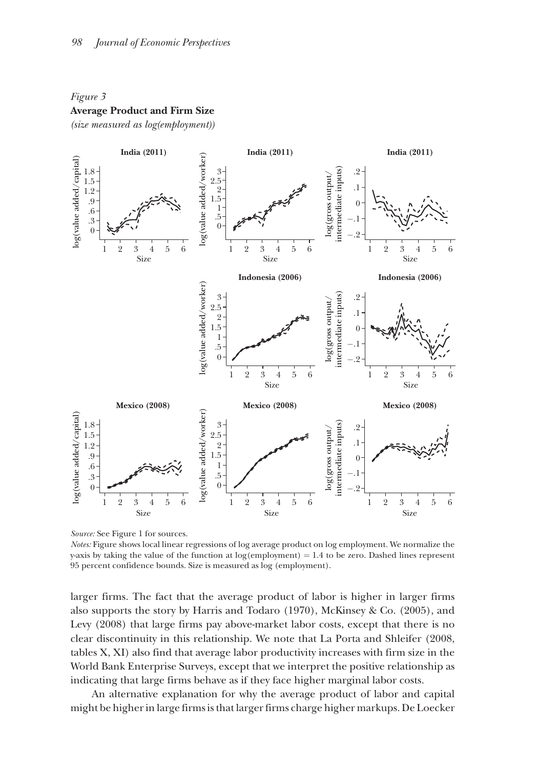<span id="page-9-0"></span>*Figure 3*





*(size measured as log(employment))*

*Source:* See Figure 1 for sources.

*Notes:* Figure shows local linear regressions of log average product on log employment. We normalize the y-axis by taking the value of the function at  $log$  (employment) = 1.4 to be zero. Dashed lines represent 95 percent confidence bounds. Size is measured as log (employment).

larger firms. The fact that the average product of labor is higher in larger firms also supports the story by Harris and Todaro (1970), McKinsey & Co. (2005), and Levy (2008) that large firms pay above-market labor costs, except that there is no clear discontinuity in this relationship. We note that La Porta and Shleifer (2008, tables X, XI) also find that average labor productivity increases with firm size in the World Bank Enterprise Surveys, except that we interpret the positive relationship as indicating that large firms behave as if they face higher marginal labor costs.

An alternative explanation for why the average product of labor and capital might be higher in large firms is that larger firms charge higher markups. De Loecker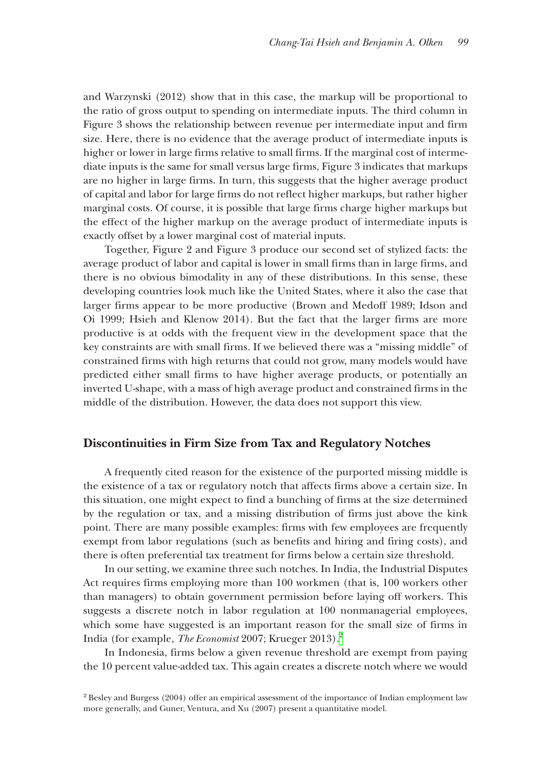and Warzynski (2012) show that in this case, the markup will be proportional to the ratio of gross output to spending on intermediate inputs. The third column in Figure 3 shows the relationship between revenue per intermediate input and firm size. Here, there is no evidence that the average product of intermediate inputs is higher or lower in large firms relative to small firms. If the marginal cost of intermediate inputs is the same for small versus large firms, Figure 3 indicates that markups are no higher in large firms. In turn, this suggests that the higher average product of capital and labor for large firms do not reflect higher markups, but rather higher marginal costs. Of course, it is possible that large firms charge higher markups but the effect of the higher markup on the average product of intermediate inputs is exactly offset by a lower marginal cost of material inputs.

Together, Figure 2 and Figure 3 produce our second set of stylized facts: the average product of labor and capital is lower in small firms than in large firms, and there is no obvious bimodality in any of these distributions. In this sense, these developing countries look much like the United States, where it also the case that larger firms appear to be more productive (Brown and Medoff 1989; Idson and Oi 1999; Hsieh and Klenow 2014). But the fact that the larger firms are more productive is at odds with the frequent view in the development space that the key constraints are with small firms. If we believed there was a "missing middle" of constrained firms with high returns that could not grow, many models would have predicted either small firms to have higher average products, or potentially an inverted U-shape, with a mass of high average product and constrained firms in the middle of the distribution. However, the data does not support this view.

#### **Discontinuities in Firm Size from Tax and Regulatory Notches**

A frequently cited reason for the existence of the purported missing middle is the existence of a tax or regulatory notch that affects firms above a certain size. In this situation, one might expect to find a bunching of firms at the size determined by the regulation or tax, and a missing distribution of firms just above the kink point. There are many possible examples: firms with few employees are frequently exempt from labor regulations (such as benefits and hiring and firing costs), and there is often preferential tax treatment for firms below a certain size threshold.

In our setting, we examine three such notches. In India, the Industrial Disputes Act requires firms employing more than 100 workmen (that is, 100 workers other than managers) to obtain government permission before laying off workers. This suggests a discrete notch in labor regulation at 100 nonmanagerial employees, which some have suggested is an important reason for the small size of firms in India (for example, *The Economist* 2007; Krueger 2013).[2](#page-10-0)

In Indonesia, firms below a given revenue threshold are exempt from paying the 10 percent value-added tax. This again creates a discrete notch where we would

<span id="page-10-0"></span><sup>&</sup>lt;sup>2</sup> Besley and Burgess (2004) offer an empirical assessment of the importance of Indian employment law more generally, and Guner, Ventura, and Xu (2007) present a quantitative model.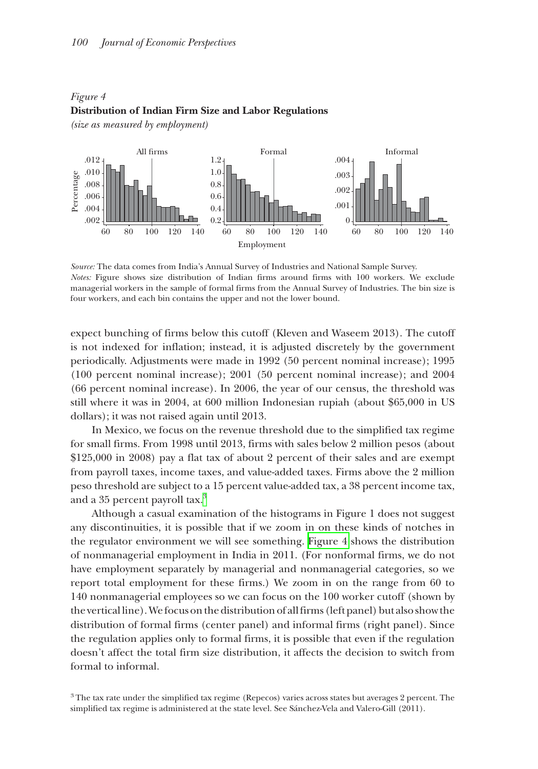



*Source:* The data comes from India's Annual Survey of Industries and National Sample Survey. *Notes:* Figure shows size distribution of Indian firms around firms with 100 workers. We exclude managerial workers in the sample of formal firms from the Annual Survey of Industries. The bin size is four workers, and each bin contains the upper and not the lower bound.

expect bunching of firms below this cutoff (Kleven and Waseem 2013). The cutoff is not indexed for inflation; instead, it is adjusted discretely by the government periodically. Adjustments were made in 1992 (50 percent nominal increase); 1995 (100 percent nominal increase); 2001 (50 percent nominal increase); and 2004 (66 percent nominal increase). In 2006, the year of our census, the threshold was still where it was in 2004, at 600 million Indonesian rupiah (about \$65,000 in US dollars); it was not raised again until 2013.

In Mexico, we focus on the revenue threshold due to the simplified tax regime for small firms. From 1998 until 2013, firms with sales below 2 million pesos (about \$125,000 in 2008) pay a flat tax of about 2 percent of their sales and are exempt from payroll taxes, income taxes, and value-added taxes. Firms above the 2 million peso threshold are subject to a 15 percent value-added tax, a 38 percent income tax, and a 35 percent payroll tax.<sup>3</sup>

Although a casual examination of the histograms in Figure 1 does not suggest any discontinuities, it is possible that if we zoom in on these kinds of notches in the regulator environment we will see something. Figure 4 shows the distribution of nonmanagerial employment in India in 2011. (For nonformal firms, we do not have employment separately by managerial and nonmanagerial categories, so we report total employment for these firms.) We zoom in on the range from 60 to 140 nonmanagerial employees so we can focus on the 100 worker cutoff (shown by the vertical line). We focus on the distribution of all firms (left panel) but also show the distribution of formal firms (center panel) and informal firms (right panel). Since the regulation applies only to formal firms, it is possible that even if the regulation doesn't affect the total firm size distribution, it affects the decision to switch from formal to informal.

<span id="page-11-0"></span><sup>&</sup>lt;sup>3</sup> The tax rate under the simplified tax regime (Repecos) varies across states but averages 2 percent. The simplified tax regime is administered at the state level. See Sánchez-Vela and Valero-Gill (2011).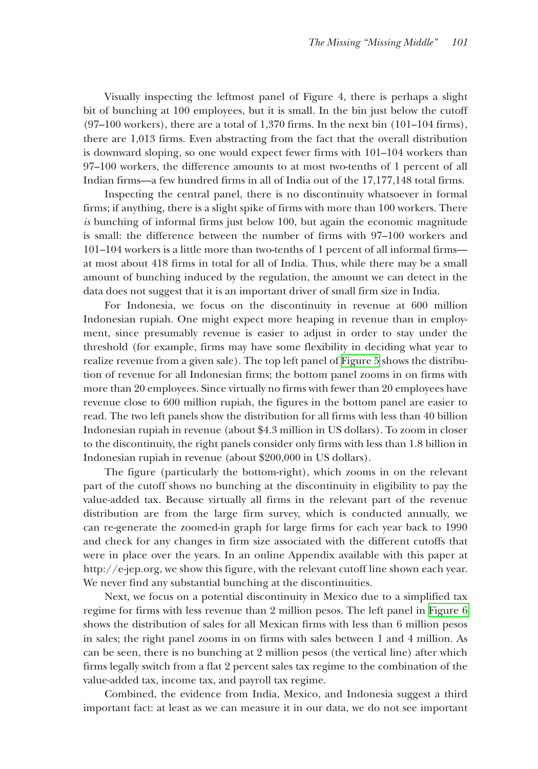Visually inspecting the leftmost panel of Figure 4, there is perhaps a slight bit of bunching at 100 employees, but it is small. In the bin just below the cutoff  $(97-100$  workers), there are a total of 1,370 firms. In the next bin  $(101-104$  firms), there are 1,013 firms. Even abstracting from the fact that the overall distribution is downward sloping, so one would expect fewer firms with 101–104 workers than 97–100 workers, the difference amounts to at most two-tenths of 1 percent of all Indian firms—a few hundred firms in all of India out of the 17,177,148 total firms.

Inspecting the central panel, there is no discontinuity whatsoever in formal firms; if anything, there is a slight spike of firms with more than 100 workers. There *is* bunching of informal firms just below 100, but again the economic magnitude is small: the difference between the number of firms with 97–100 workers and 101–104 workers is a little more than two-tenths of 1 percent of all informal firms at most about 418 firms in total for all of India. Thus, while there may be a small amount of bunching induced by the regulation, the amount we can detect in the data does not suggest that it is an important driver of small firm size in India.

For Indonesia, we focus on the discontinuity in revenue at 600 million Indonesian rupiah. One might expect more heaping in revenue than in employment, since presumably revenue is easier to adjust in order to stay under the threshold (for example, firms may have some flexibility in deciding what year to realize revenue from a given sale). The top left panel of [Figure 5](#page-13-0) shows the distribution of revenue for all Indonesian firms; the bottom panel zooms in on firms with more than 20 employees. Since virtually no firms with fewer than 20 employees have revenue close to 600 million rupiah, the figures in the bottom panel are easier to read. The two left panels show the distribution for all firms with less than 40 billion Indonesian rupiah in revenue (about \$4.3 million in US dollars). To zoom in closer to the discontinuity, the right panels consider only firms with less than 1.8 billion in Indonesian rupiah in revenue (about \$200,000 in US dollars).

The figure (particularly the bottom-right), which zooms in on the relevant part of the cutoff shows no bunching at the discontinuity in eligibility to pay the value-added tax. Because virtually all firms in the relevant part of the revenue distribution are from the large firm survey, which is conducted annually, we can re-generate the zoomed-in graph for large firms for each year back to 1990 and check for any changes in firm size associated with the different cutoffs that were in place over the years. In an online Appendix available with this paper at http://e-jep.org, we show this figure, with the relevant cutoff line shown each year. We never find any substantial bunching at the discontinuities.

Next, we focus on a potential discontinuity in Mexico due to a simplified tax regime for firms with less revenue than 2 million pesos. The left panel in [Figure 6](#page-14-0)  shows the distribution of sales for all Mexican firms with less than 6 million pesos in sales; the right panel zooms in on firms with sales between 1 and 4 million. As can be seen, there is no bunching at 2 million pesos (the vertical line) after which firms legally switch from a flat 2 percent sales tax regime to the combination of the value-added tax, income tax, and payroll tax regime.

Combined, the evidence from India, Mexico, and Indonesia suggest a third important fact: at least as we can measure it in our data, we do not see important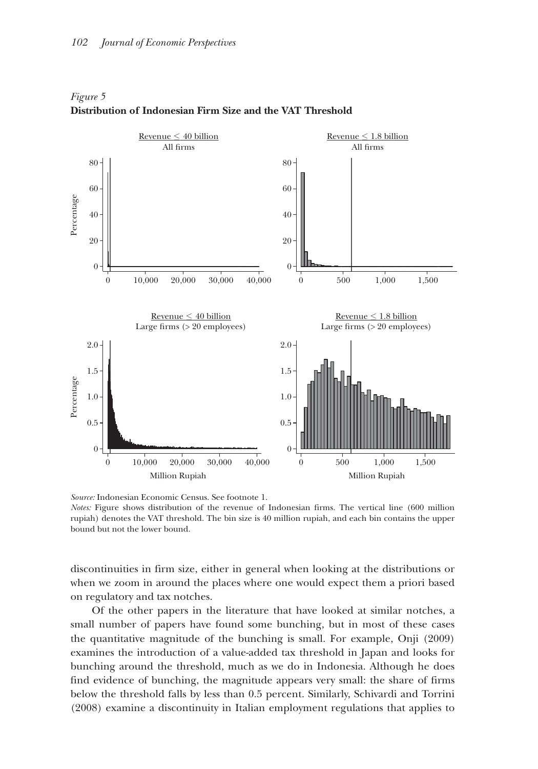

<span id="page-13-0"></span>*Figure 5* **Distribution of Indonesian Firm Size and the VAT Threshold**

*Source:* Indonesian Economic Census. See footnote 1. *Notes:* Figure shows distribution of the revenue of Indonesian firms. The vertical line (600 million rupiah) denotes the VAT threshold. The bin size is 40 million rupiah, and each bin contains the upper bound but not the lower bound.

discontinuities in firm size, either in general when looking at the distributions or when we zoom in around the places where one would expect them a priori based on regulatory and tax notches.

Of the other papers in the literature that have looked at similar notches, a small number of papers have found some bunching, but in most of these cases the quantitative magnitude of the bunching is small. For example, Onji (2009) examines the introduction of a value-added tax threshold in Japan and looks for bunching around the threshold, much as we do in Indonesia. Although he does find evidence of bunching, the magnitude appears very small: the share of firms below the threshold falls by less than 0.5 percent. Similarly, Schivardi and Torrini (2008) examine a discontinuity in Italian employment regulations that applies to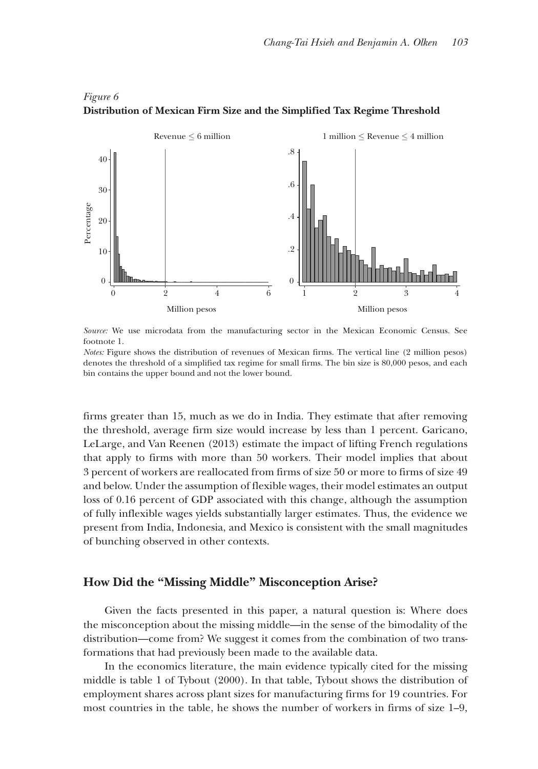

#### <span id="page-14-0"></span>*Figure 6* **Distribution of Mexican Firm Size and the Simplified Tax Regime Threshold**

*Source:* We use microdata from the manufacturing sector in the Mexican Economic Census. See footnote 1.

*Notes:* Figure shows the distribution of revenues of Mexican firms. The vertical line (2 million pesos) denotes the threshold of a simplified tax regime for small firms. The bin size is 80,000 pesos, and each bin contains the upper bound and not the lower bound.

firms greater than 15, much as we do in India. They estimate that after removing the threshold, average firm size would increase by less than 1 percent. Garicano, LeLarge, and Van Reenen (2013) estimate the impact of lifting French regulations that apply to firms with more than 50 workers. Their model implies that about 3 percent of workers are reallocated from firms of size 50 or more to firms of size 49 and below. Under the assumption of flexible wages, their model estimates an output loss of 0.16 percent of GDP associated with this change, although the assumption of fully inflexible wages yields substantially larger estimates. Thus, the evidence we present from India, Indonesia, and Mexico is consistent with the small magnitudes of bunching observed in other contexts.

#### **How Did the "Missing Middle" Misconception Arise?**

Given the facts presented in this paper, a natural question is: Where does the misconception about the missing middle—in the sense of the bimodality of the distribution—come from? We suggest it comes from the combination of two transformations that had previously been made to the available data.

In the economics literature, the main evidence typically cited for the missing middle is table 1 of Tybout (2000). In that table, Tybout shows the distribution of employment shares across plant sizes for manufacturing firms for 19 countries. For most countries in the table, he shows the number of workers in firms of size 1–9,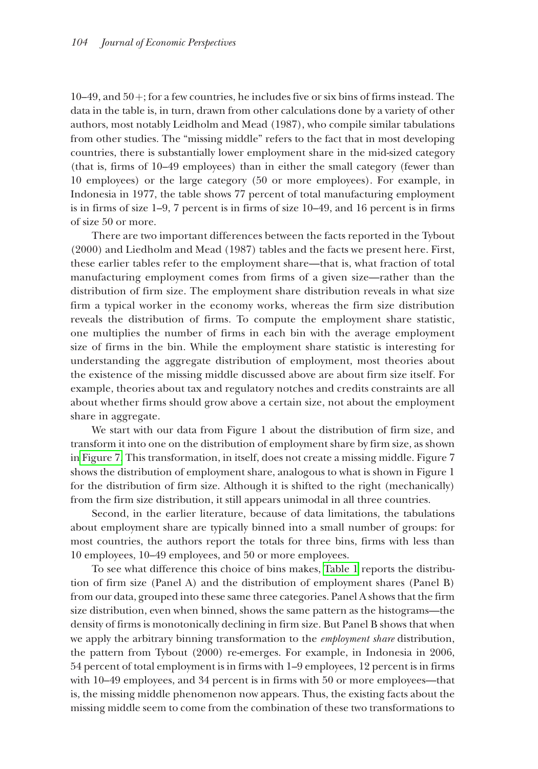10–49, and 50+; for a few countries, he includes five or six bins of firms instead. The data in the table is, in turn, drawn from other calculations done by a variety of other authors, most notably Leidholm and Mead (1987), who compile similar tabulations from other studies. The "missing middle" refers to the fact that in most developing countries, there is substantially lower employment share in the mid-sized category (that is, firms of 10–49 employees) than in either the small category (fewer than 10 employees) or the large category (50 or more employees). For example, in Indonesia in 1977, the table shows 77 percent of total manufacturing employment is in firms of size 1–9, 7 percent is in firms of size 10–49, and 16 percent is in firms of size 50 or more.

There are two important differences between the facts reported in the Tybout (2000) and Liedholm and Mead (1987) tables and the facts we present here. First, these earlier tables refer to the employment share—that is, what fraction of total manufacturing employment comes from firms of a given size—rather than the distribution of firm size. The employment share distribution reveals in what size firm a typical worker in the economy works, whereas the firm size distribution reveals the distribution of firms. To compute the employment share statistic, one multiplies the number of firms in each bin with the average employment size of firms in the bin. While the employment share statistic is interesting for understanding the aggregate distribution of employment, most theories about the existence of the missing middle discussed above are about firm size itself. For example, theories about tax and regulatory notches and credits constraints are all about whether firms should grow above a certain size, not about the employment share in aggregate.

We start with our data from Figure 1 about the distribution of firm size, and transform it into one on the distribution of employment share by firm size, as shown in [Figure 7.](#page-16-0) This transformation, in itself, does not create a missing middle. Figure 7 shows the distribution of employment share, analogous to what is shown in Figure 1 for the distribution of firm size. Although it is shifted to the right (mechanically) from the firm size distribution, it still appears unimodal in all three countries.

Second, in the earlier literature, because of data limitations, the tabulations about employment share are typically binned into a small number of groups: for most countries, the authors report the totals for three bins, firms with less than 10 employees, 10–49 employees, and 50 or more employees.

To see what difference this choice of bins makes, [Table 1](#page-17-0) reports the distribution of firm size (Panel A) and the distribution of employment shares (Panel B) from our data, grouped into these same three categories. Panel A shows that the firm size distribution, even when binned, shows the same pattern as the histograms—the density of firms is monotonically declining in firm size. But Panel B shows that when we apply the arbitrary binning transformation to the *employment share* distribution, the pattern from Tybout (2000) re-emerges. For example, in Indonesia in 2006, 54 percent of total employment is in firms with 1–9 employees, 12 percent is in firms with 10–49 employees, and 34 percent is in firms with 50 or more employees—that is, the missing middle phenomenon now appears. Thus, the existing facts about the missing middle seem to come from the combination of these two transformations to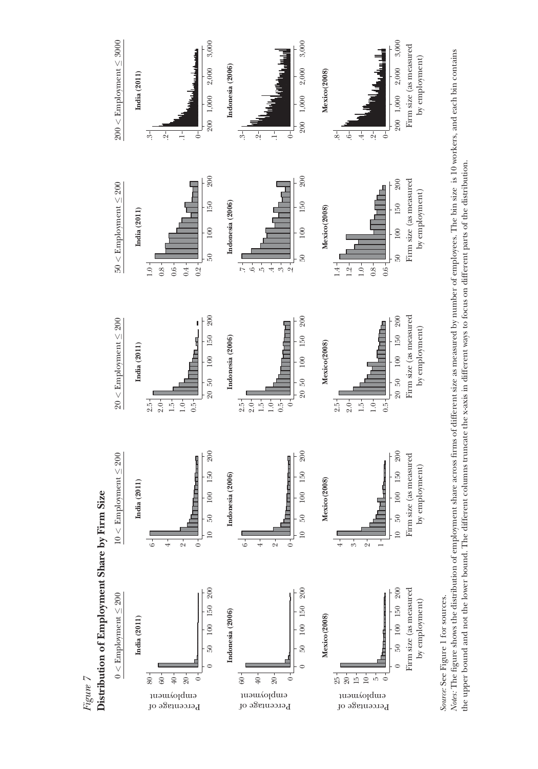<span id="page-16-0"></span>

*Notes:* The figure shows the distribution of employment share across firms of different size as measured by number of employees. The bin size is 10 workers, and each bin contains the upper bound and not the lower bound. The different columns truncate the x-axis in different ways to focus on different parts of the distribution. the upper bound and not the lower bound. The different columns truncate the x-axis in different ways to focus on different parts of the distribution.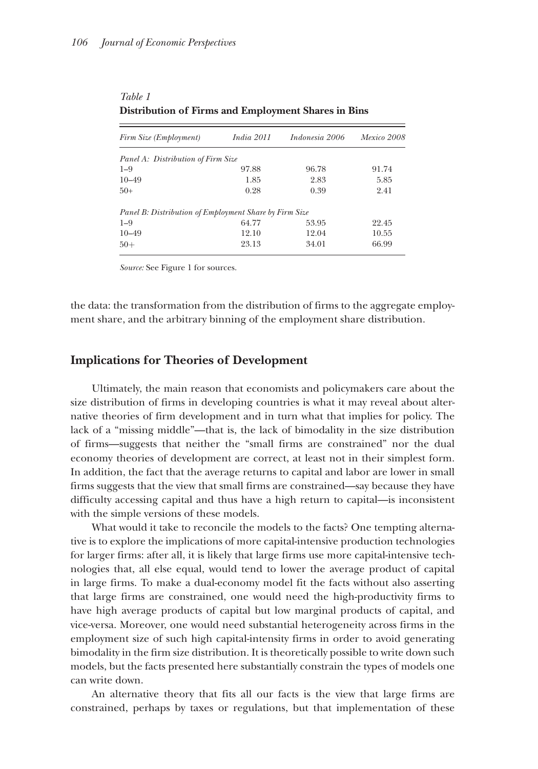| Firm Size (Employment)                                 | <i>India</i> 2011 | Indonesia 2006 | Mexico 2008 |
|--------------------------------------------------------|-------------------|----------------|-------------|
| Panel A: Distribution of Firm Size                     |                   |                |             |
| $1 - 9$                                                | 97.88             | 96.78          | 91.74       |
| $10 - 49$                                              | 1.85              | 2.83           | 5.85        |
| $50+$                                                  | 0.28              | 0.39           | 2.41        |
| Panel B: Distribution of Employment Share by Firm Size |                   |                |             |
| $1 - 9$                                                | 64.77             | 53.95          | 22.45       |
| $10 - 49$                                              | 12.10             | 12.04          | 10.55       |
| $50+$                                                  | 23.13             | 34.01          | 66.99       |

#### <span id="page-17-0"></span>*Table 1* **Distribution of Firms and Employment Shares in Bins**

*Source:* See Figure 1 for sources.

the data: the transformation from the distribution of firms to the aggregate employment share, and the arbitrary binning of the employment share distribution.

#### **Implications for Theories of Development**

Ultimately, the main reason that economists and policymakers care about the size distribution of firms in developing countries is what it may reveal about alternative theories of firm development and in turn what that implies for policy. The lack of a "missing middle"—that is, the lack of bimodality in the size distribution of firms—suggests that neither the "small firms are constrained" nor the dual economy theories of development are correct, at least not in their simplest form. In addition, the fact that the average returns to capital and labor are lower in small firms suggests that the view that small firms are constrained—say because they have difficulty accessing capital and thus have a high return to capital—is inconsistent with the simple versions of these models.

What would it take to reconcile the models to the facts? One tempting alternative is to explore the implications of more capital-intensive production technologies for larger firms: after all, it is likely that large firms use more capital-intensive technologies that, all else equal, would tend to lower the average product of capital in large firms. To make a dual-economy model fit the facts without also asserting that large firms are constrained, one would need the high-productivity firms to have high average products of capital but low marginal products of capital, and vice-versa. Moreover, one would need substantial heterogeneity across firms in the employment size of such high capital-intensity firms in order to avoid generating bimodality in the firm size distribution. It is theoretically possible to write down such models, but the facts presented here substantially constrain the types of models one can write down.

An alternative theory that fits all our facts is the view that large firms are constrained, perhaps by taxes or regulations, but that implementation of these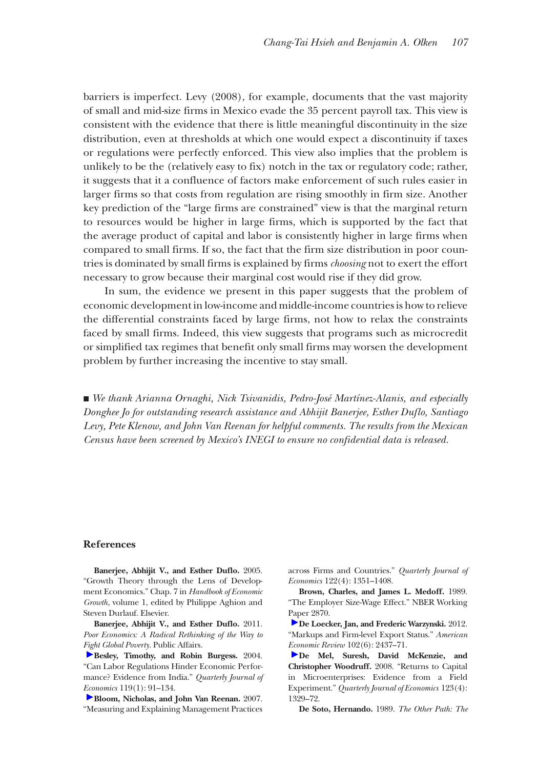barriers is imperfect. Levy (2008), for example, documents that the vast majority of small and mid-size firms in Mexico evade the 35 percent payroll tax. This view is consistent with the evidence that there is little meaningful discontinuity in the size distribution, even at thresholds at which one would expect a discontinuity if taxes or regulations were perfectly enforced. This view also implies that the problem is unlikely to be the (relatively easy to fix) notch in the tax or regulatory code; rather, it suggests that it a confluence of factors make enforcement of such rules easier in larger firms so that costs from regulation are rising smoothly in firm size. Another key prediction of the "large firms are constrained" view is that the marginal return to resources would be higher in large firms, which is supported by the fact that the average product of capital and labor is consistently higher in large firms when compared to small firms. If so, the fact that the firm size distribution in poor countries is dominated by small firms is explained by firms *choosing* not to exert the effort necessary to grow because their marginal cost would rise if they did grow.

In sum, the evidence we present in this paper suggests that the problem of economic development in low-income and middle-income countries is how to relieve the differential constraints faced by large firms, not how to relax the constraints faced by small firms. Indeed, this view suggests that programs such as microcredit or simplified tax regimes that benefit only small firms may worsen the development problem by further increasing the incentive to stay small.

■ We thank Arianna Ornaghi, Nick Tsivanidis, Pedro-José Martínez-Alanis, and especially *Donghee Jo for outstanding research assistance and Abhijit Banerjee, Esther Duflo, Santiago Levy, Pete Klenow, and John Van Reenan for helpful comments. The results from the Mexican Census have been screened by Mexico's INEGI to ensure no confidential data is released.*

#### **References**

**Banerjee, Abhijit V., and Esther Duflo.** 2005. "Growth Theory through the Lens of Development Economics." Chap. 7 in *Handbook of Economic Growth*, volume 1, edited by Philippe Aghion and Steven Durlauf. Elsevier.

**Banerjee, Abhijit V., and Esther Duflo.** 2011. *Poor Economics: A Radical Rethinking of the Way to Fight Global Poverty.* Public Affairs.

**[B](http://pubs.aeaweb.org/action/showLinks?crossref=10.1162%2F003355304772839533)esley, Timothy, and Robin Burgess.** 2004. "Can Labor Regulations Hinder Economic Performance? Evidence from India." *Quarterly Journal of Economics* 119(1): 91–134.

**[B](http://pubs.aeaweb.org/action/showLinks?crossref=10.1162%2Fqjec.2007.122.4.1351)loom, Nicholas, and John Van Reenan.** 2007. "Measuring and Explaining Management Practices

across Firms and Countries." *Quarterly Journal of Economics* 122(4): 1351–1408.

**Brown, Charles, and James L. Medoff.** 1989. "The Employer Size-Wage Effect." NBER Working Paper 2870.

**[D](http://pubs.aeaweb.org/action/showLinks?system=10.1257%2Faer.102.6.2437)e Loecker, Jan, and Frederic Warzynski.** 2012. "Markups and Firm-level Export Status." *American Economic Review* 102(6): 2437–71.

**[D](http://pubs.aeaweb.org/action/showLinks?crossref=10.1162%2Fqjec.2008.123.4.1329)e Mel, Suresh, David McKenzie, and Christopher Woodruff.** 2008. "Returns to Capital in Microenterprises: Evidence from a Field Experiment." *Quarterly Journal of Economics* 123(4): 1329–72.

**De Soto, Hernando.** 1989. *The Other Path: The*